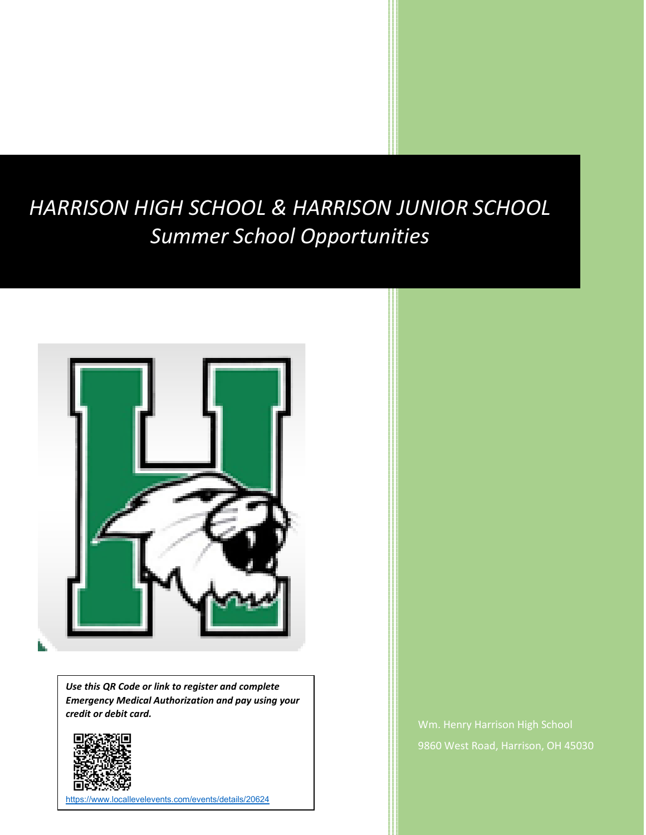# *HARRISON HIGH SCHOOL & HARRISON JUNIOR SCHOOL Summer School Opportunities*



*Use this QR Code or link to register and complete Emergency Medical Authorization and pay using your credit or debit card.*



[https://www.locallevelevents.com/events/details/20624](https://nam12.safelinks.protection.outlook.com/?url=https%3A%2F%2Fwww.locallevelevents.com%2Fevents%2Fdetails%2F20624&data=05%7C01%7Croger.mcgregor%40southwestschools.org%7C720e3a02ca554a321d9308da342e1a03%7C37ec4aed51004ad9a47f5edb04fca506%7C0%7C0%7C637879669879505437%7CUnknown%7CTWFpbGZsb3d8eyJWIjoiMC4wLjAwMDAiLCJQIjoiV2luMzIiLCJBTiI6Ik1haWwiLCJXVCI6Mn0%3D%7C3000%7C%7C%7C&sdata=oaZhb3AAHkjFpKn19XZ3ME6md0xuIsAGyKHCFj3bVTs%3D&reserved=0)

Wm. Henry Harrison High School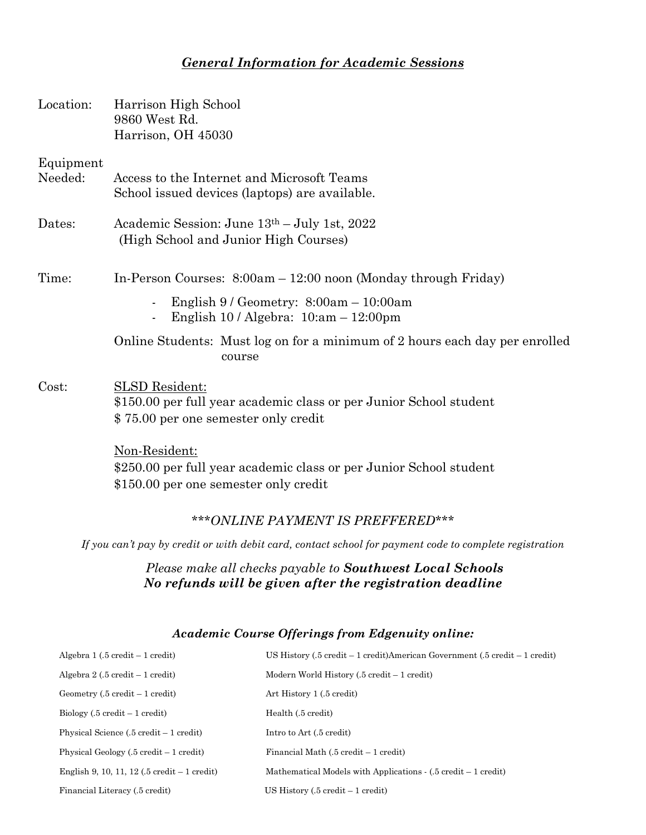# *General Information for Academic Sessions*

|                      | 9860 West Rd.<br>Harrison, OH 45030                                                                                                 |  |  |
|----------------------|-------------------------------------------------------------------------------------------------------------------------------------|--|--|
| Equipment<br>Needed: | Access to the Internet and Microsoft Teams<br>School issued devices (laptops) are available.                                        |  |  |
| Dates:               | Academic Session: June 13th – July 1st, 2022<br>(High School and Junior High Courses)                                               |  |  |
| Time:                | In-Person Courses: 8:00am - 12:00 noon (Monday through Friday)                                                                      |  |  |
|                      | English $9/$ Geometry: $8:00am - 10:00am$<br>English $10 /$ Algebra: $10:am - 12:00pm$<br>$\blacksquare$                            |  |  |
|                      | Online Students: Must log on for a minimum of 2 hours each day per enrolled<br>course                                               |  |  |
| Cost:                | <b>SLSD</b> Resident:<br>\$150.00 per full year academic class or per Junior School student<br>\$75.00 per one semester only credit |  |  |
|                      | Non-Resident:<br>\$250.00 per full year academic class or per Junior School student<br>\$150.00 per one semester only credit        |  |  |
|                      | *** ONLINE PAYMENT IS PREFFERED***                                                                                                  |  |  |
|                      | If you can't pay by credit or with debit card, contact school for payment code to complete registration                             |  |  |
|                      | Please make all checks payable to <b>Southwest Local Schools</b><br>No refunds will be given after the registration deadline        |  |  |
|                      | Academic Course Offerings from Edgenuity online:                                                                                    |  |  |

| Algebra $1(.5 \text{ credit} - 1 \text{ credit})$         | US History (.5 credit – 1 credit) American Government (.5 credit – 1 credit)    |
|-----------------------------------------------------------|---------------------------------------------------------------------------------|
| Algebra $2(.5 \text{ credit} - 1 \text{ credit})$         | Modern World History $(.5 \text{ credit} - 1 \text{ credit})$                   |
| $Geometry (.5 credit - 1 credit)$                         | Art History 1 (.5 credit)                                                       |
| $Biology (0.5 credit - 1 credit)$                         | Health (.5 credit)                                                              |
| Physical Science $(.5 \text{ credit} - 1 \text{ credit})$ | Intro to Art (.5 credit)                                                        |
| Physical Geology $(.5 \text{ credit} - 1 \text{ credit})$ | Financial Math $(.5 \text{ credit} - 1 \text{ credit})$                         |
| English 9, 10, 11, 12 (.5 credit $-1$ credit)             | Mathematical Models with Applications $(0.5 \text{ credit} - 1 \text{ credit})$ |
| Financial Literacy (.5 credit)                            | US History $(.5 \text{ credit} - 1 \text{ credit})$                             |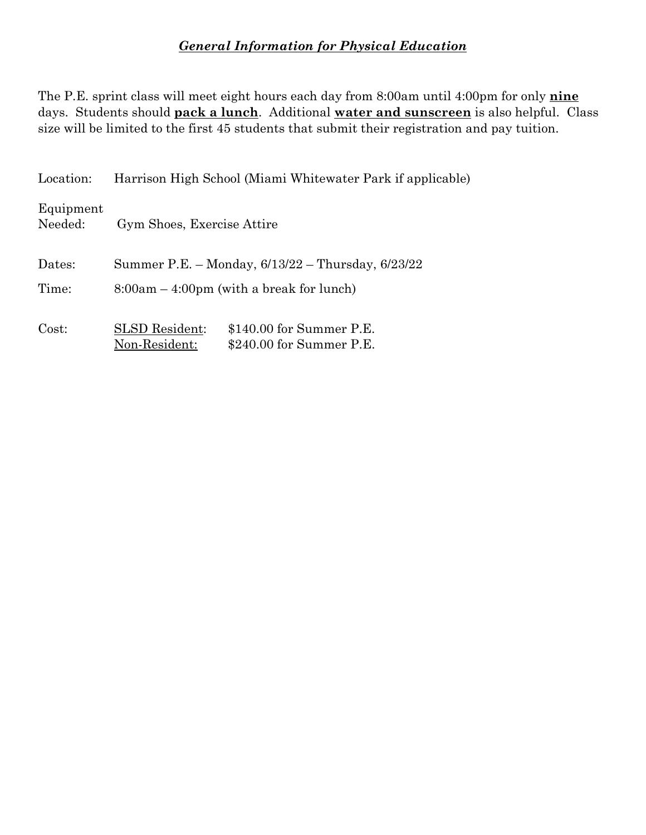## *General Information for Physical Education*

The P.E. sprint class will meet eight hours each day from 8:00am until 4:00pm for only **nine** days. Students should **pack a lunch**. Additional **water and sunscreen** is also helpful. Class size will be limited to the first 45 students that submit their registration and pay tuition.

| Location:            | Harrison High School (Miami Whitewater Park if applicable)                                      |  |  |
|----------------------|-------------------------------------------------------------------------------------------------|--|--|
| Equipment<br>Needed: | Gym Shoes, Exercise Attire                                                                      |  |  |
| Dates:               | Summer P.E. – Monday, 6/13/22 – Thursday, 6/23/22                                               |  |  |
| Time:                | $8:00am - 4:00pm$ (with a break for lunch)                                                      |  |  |
| Cost:                | <b>SLSD</b> Resident:<br>\$140.00 for Summer P.E.<br>$$240.00$ for Summer P.E.<br>Non-Resident: |  |  |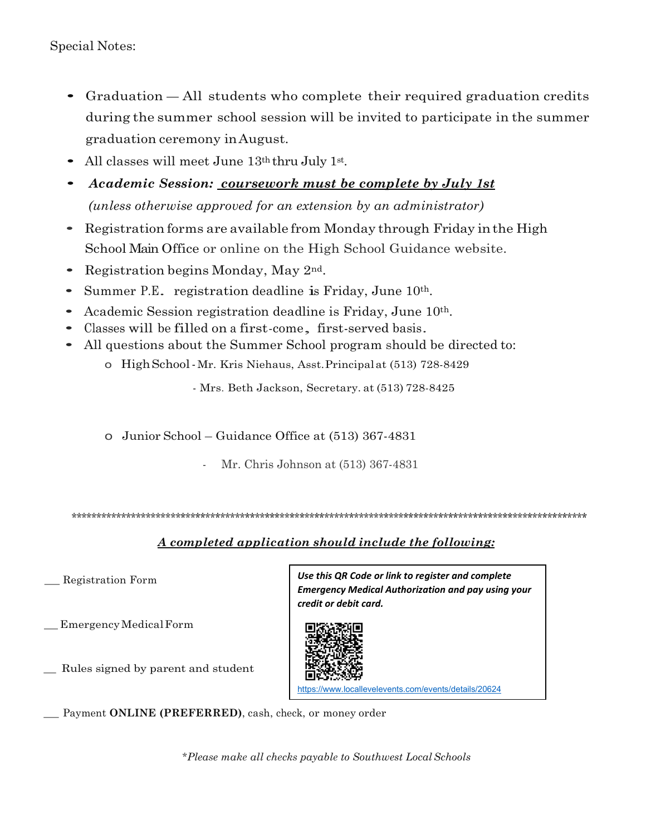Special Notes:

- Graduation All students who complete their required graduation credits during the summer school session will be invited to participate in the summer graduation ceremony inAugust.
- All classes will meet June 13th thru July 1st.
- *Academic Session: coursework must be complete by July 1st (unless otherwise approved for an extension by an administrator)*
- Registration forms are available from Monday through Friday inthe High School Main Office or online on the High School Guidance website.
- Registration begins Monday, May 2<sup>nd</sup>.
- Summer P.E. registration deadline is Friday, June 10<sup>th</sup>.
- Academic Session registration deadline is Friday, June 10th.
- Classes will be filled on a first-come, first-served basis.
- All questions about the Summer School program should be directed to:
	- o HighSchool-Mr. Kris Niehaus, Asst.Principalat (513) 728-8429

- Mrs. Beth Jackson, Secretary. at (513) 728-8425

o Junior School – Guidance Office at (513) 367-4831

Mr. Chris Johnson at (513) 367-4831

\*\*\*\*\*\*\*\*\*\*\*\*\*\*\*\*\*\*\*\*\*\*\*\*\*\*\*\*\*\*\*\*\*\*\*\*\*\*\*\*\*\*\*\*\*\*\*\*\*\*\*\*\*\*\*\*\*\*\*\*\*\*\*\*\*\*\*\*\*\*\*\*\*\*\*\*\*\*\*\*\*\*\*\*\*\*\*\*\*\*\*\*\*\*\*\*\*\*\*\*\*\*\*\*

#### *A completed application should include the following:*

\_ Registration Form

\_EmergencyMedicalForm

Rules signed by parent and student

*Use this QR Code or link to register and complete Emergency Medical Authorization and pay using your credit or debit card.*



//www.locallevelevents.com/events/details/20624

Payment **ONLINE (PREFERRED)**, cash, check, or money order

*\*Please make all checks payable to Southwest LocalSchools*